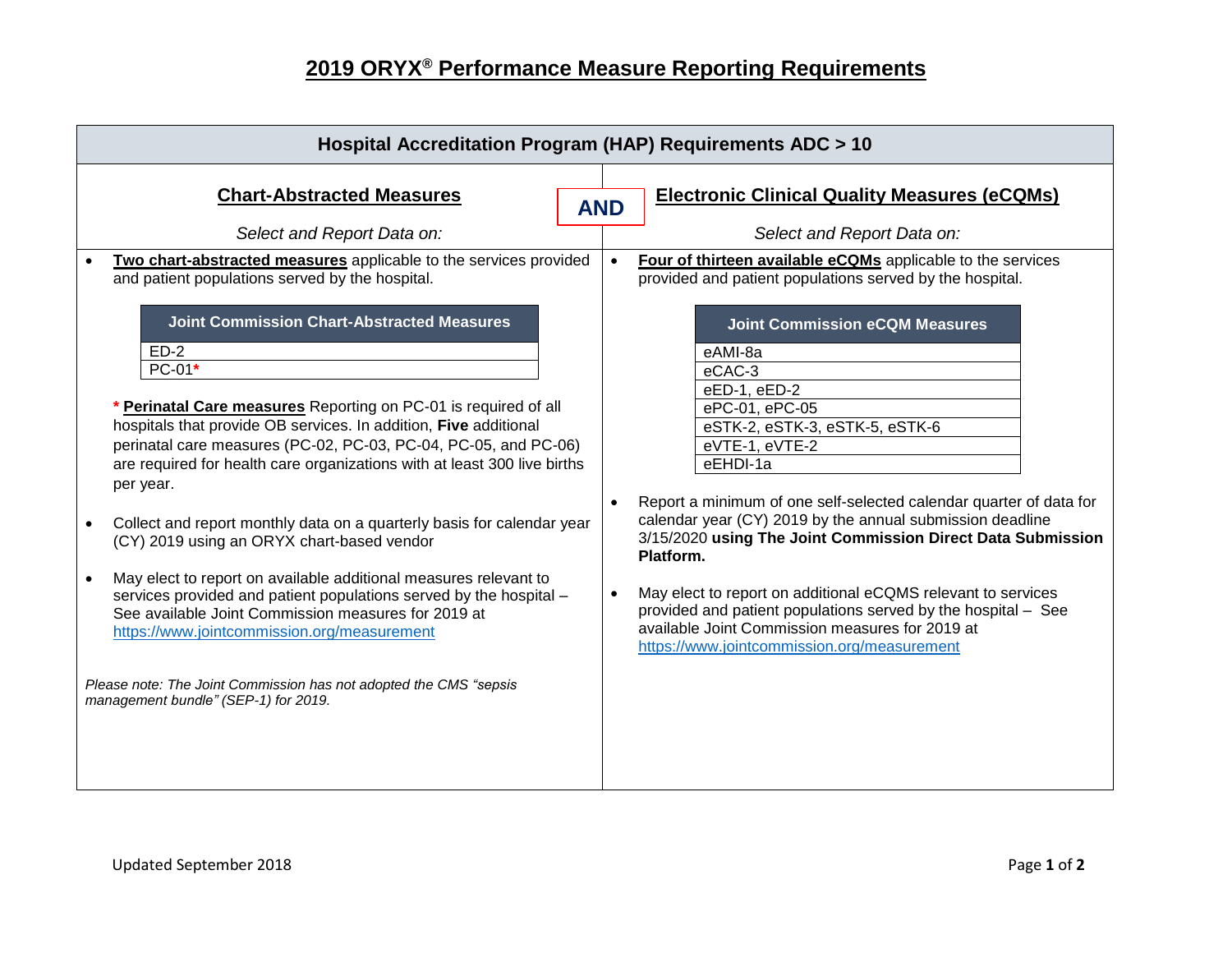## **2019 ORYX® Performance Measure Reporting Requirements**

| Hospital Accreditation Program (HAP) Requirements ADC > 10                                                                                                                                                                                                                                                                                                                                                                                                                                                                                                                                                                                                                                                                                                                                                                                                      |            |                                                                                                                                                                                                                                                                                                                                                                                                                                                                                                                                                                                                                |  |
|-----------------------------------------------------------------------------------------------------------------------------------------------------------------------------------------------------------------------------------------------------------------------------------------------------------------------------------------------------------------------------------------------------------------------------------------------------------------------------------------------------------------------------------------------------------------------------------------------------------------------------------------------------------------------------------------------------------------------------------------------------------------------------------------------------------------------------------------------------------------|------------|----------------------------------------------------------------------------------------------------------------------------------------------------------------------------------------------------------------------------------------------------------------------------------------------------------------------------------------------------------------------------------------------------------------------------------------------------------------------------------------------------------------------------------------------------------------------------------------------------------------|--|
| <b>Chart-Abstracted Measures</b><br>Select and Report Data on:                                                                                                                                                                                                                                                                                                                                                                                                                                                                                                                                                                                                                                                                                                                                                                                                  | <b>AND</b> | <b>Electronic Clinical Quality Measures (eCQMs)</b><br>Select and Report Data on:                                                                                                                                                                                                                                                                                                                                                                                                                                                                                                                              |  |
| Two chart-abstracted measures applicable to the services provided<br>and patient populations served by the hospital.                                                                                                                                                                                                                                                                                                                                                                                                                                                                                                                                                                                                                                                                                                                                            | $\bullet$  | Four of thirteen available eCQMs applicable to the services<br>provided and patient populations served by the hospital.                                                                                                                                                                                                                                                                                                                                                                                                                                                                                        |  |
| <b>Joint Commission Chart-Abstracted Measures</b><br>$ED-2$<br>$PC-01*$<br>* Perinatal Care measures Reporting on PC-01 is required of all<br>hospitals that provide OB services. In addition, Five additional<br>perinatal care measures (PC-02, PC-03, PC-04, PC-05, and PC-06)<br>are required for health care organizations with at least 300 live births<br>per year.<br>Collect and report monthly data on a quarterly basis for calendar year<br>(CY) 2019 using an ORYX chart-based vendor<br>May elect to report on available additional measures relevant to<br>services provided and patient populations served by the hospital -<br>See available Joint Commission measures for 2019 at<br>https://www.jointcommission.org/measurement<br>Please note: The Joint Commission has not adopted the CMS "sepsis<br>management bundle" (SEP-1) for 2019. | $\bullet$  | <b>Joint Commission eCQM Measures</b><br>eAMI-8a<br>eCAC-3<br>eED-1, eED-2<br>ePC-01, ePC-05<br>eSTK-2, eSTK-3, eSTK-5, eSTK-6<br>eVTE-1, eVTE-2<br>eEHDI-1a<br>Report a minimum of one self-selected calendar quarter of data for<br>calendar year (CY) 2019 by the annual submission deadline<br>3/15/2020 using The Joint Commission Direct Data Submission<br>Platform.<br>May elect to report on additional eCQMS relevant to services<br>provided and patient populations served by the hospital - See<br>available Joint Commission measures for 2019 at<br>https://www.jointcommission.org/measurement |  |